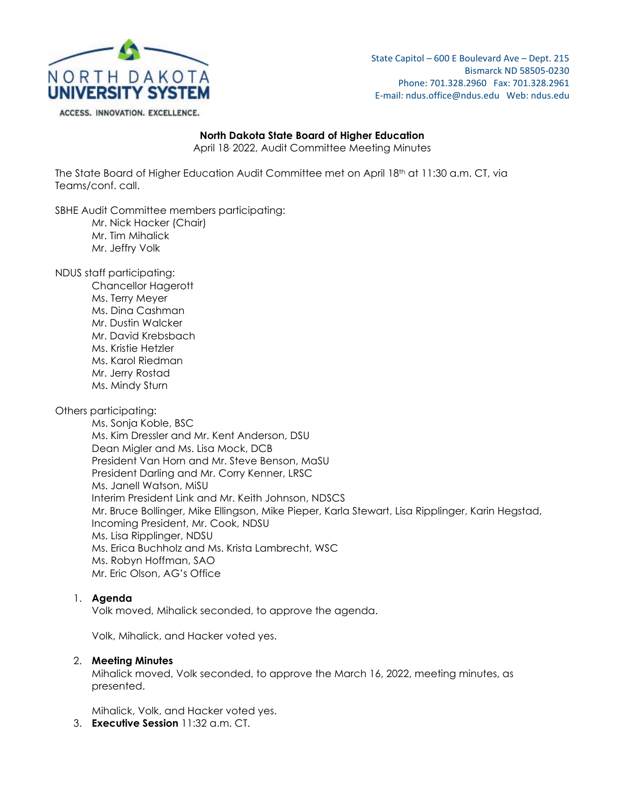

State Capitol – 600 E Boulevard Ave – Dept. 215 Bismarck ND 58505-0230 Phone: 701.328.2960 Fax: 701.328.2961 E-mail: ndus.office@ndus.edu Web: ndus.edu

#### ACCESS. INNOVATION. EXCELLENCE.

## **North Dakota State Board of Higher Education**

April 18, 2022, Audit Committee Meeting Minutes

The State Board of Higher Education Audit Committee met on April 18<sup>th</sup> at 11:30 a.m. CT, via Teams/conf. call.

SBHE Audit Committee members participating:

- Mr. Nick Hacker (Chair)
- Mr. Tim Mihalick
- Mr. Jeffry Volk

NDUS staff participating:

Chancellor Hagerott Ms. Terry Meyer Ms. Dina Cashman Mr. Dustin Walcker Mr. David Krebsbach Ms. Kristie Hetzler Ms. Karol Riedman Mr. Jerry Rostad Ms. Mindy Sturn

## Others participating:

Ms. Sonja Koble, BSC Ms. Kim Dressler and Mr. Kent Anderson, DSU Dean Migler and Ms. Lisa Mock, DCB President Van Horn and Mr. Steve Benson, MaSU President Darling and Mr. Corry Kenner, LRSC Ms. Janell Watson, MiSU Interim President Link and Mr. Keith Johnson, NDSCS Mr. Bruce Bollinger, Mike Ellingson, Mike Pieper, Karla Stewart, Lisa Ripplinger, Karin Hegstad, Incoming President, Mr. Cook, NDSU Ms. Lisa Ripplinger, NDSU Ms. Erica Buchholz and Ms. Krista Lambrecht, WSC Ms. Robyn Hoffman, SAO Mr. Eric Olson, AG's Office

### 1. **Agenda**

Volk moved, Mihalick seconded, to approve the agenda.

Volk, Mihalick, and Hacker voted yes.

### 2. **Meeting Minutes**

Mihalick moved, Volk seconded, to approve the March 16, 2022, meeting minutes, as presented.

Mihalick, Volk, and Hacker voted yes.

3. **Executive Session** 11:32 a.m. CT.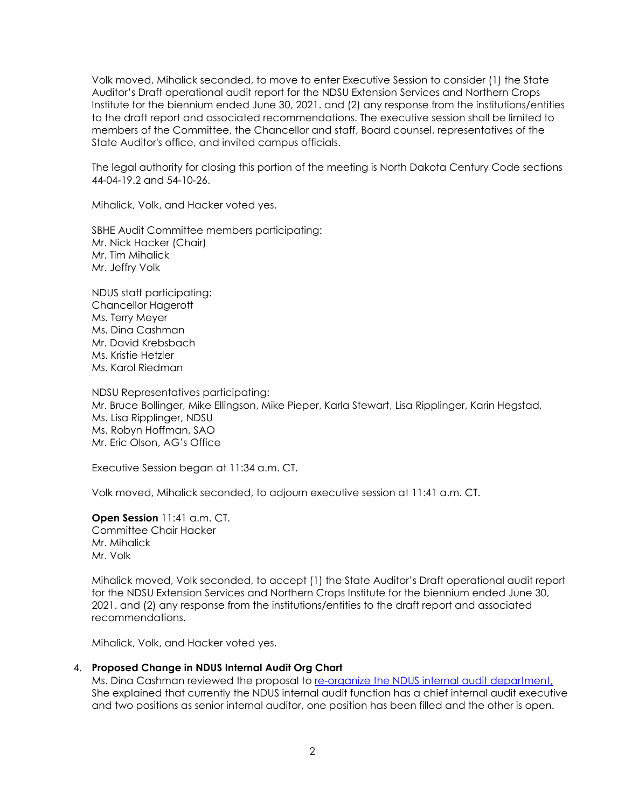Volk moved, Mihalick seconded, to move to enter Executive Session to consider (1) the State Auditor's Draft operational audit report for the NDSU Extension Services and Northern Crops Institute for the biennium ended June 30, 2021. and (2) any response from the institutions/entities to the draft report and associated recommendations. The executive session shall be limited to members of the Committee, the Chancellor and staff, Board counsel, representatives of the State Auditor's office, and invited campus officials.

The legal authority for closing this portion of the meeting is North Dakota Century Code sections 44-04-19.2 and 54-10-26.

Mihalick, Volk, and Hacker voted yes.

SBHE Audit Committee members participating: Mr. Nick Hacker (Chair) Mr. Tim Mihalick Mr. Jeffry Volk

NDUS staff participating: Chancellor Hagerott Ms. Terry Meyer Ms. Dina Cashman Mr. David Krebsbach Ms. Kristie Hetzler Ms. Karol Riedman

NDSU Representatives participating: Mr. Bruce Bollinger, Mike Ellingson, Mike Pieper, Karla Stewart, Lisa Ripplinger, Karin Hegstad, Ms. Lisa Ripplinger, NDSU Ms. Robyn Hoffman, SAO Mr. Eric Olson, AG's Office

Executive Session began at 11:34 a.m. CT.

Volk moved, Mihalick seconded, to adjourn executive session at 11:41 a.m. CT.

**Open Session** 11:41 a.m. CT. Committee Chair Hacker Mr. Mihalick Mr. Volk

Mihalick moved, Volk seconded, to accept (1) the State Auditor's Draft operational audit report for the NDSU Extension Services and Northern Crops Institute for the biennium ended June 30, 2021. and (2) any response from the institutions/entities to the draft report and associated recommendations.

Mihalick, Volk, and Hacker voted yes.

### 4. **Proposed Change in NDUS Internal Audit Org Chart**

Ms. Dina Cashman reviewed the proposal to [re-organize the NDUS internal audit department,](https://ndusbpos.sharepoint.com/:i:/s/NDUSSBHE/EcoyIK16CmFAiGUp45HabyMB2t0XT1quzn1YmSI1PSRj2A?e=4bM9vf) She explained that currently the NDUS internal audit function has a chief internal audit executive and two positions as senior internal auditor, one position has been filled and the other is open.